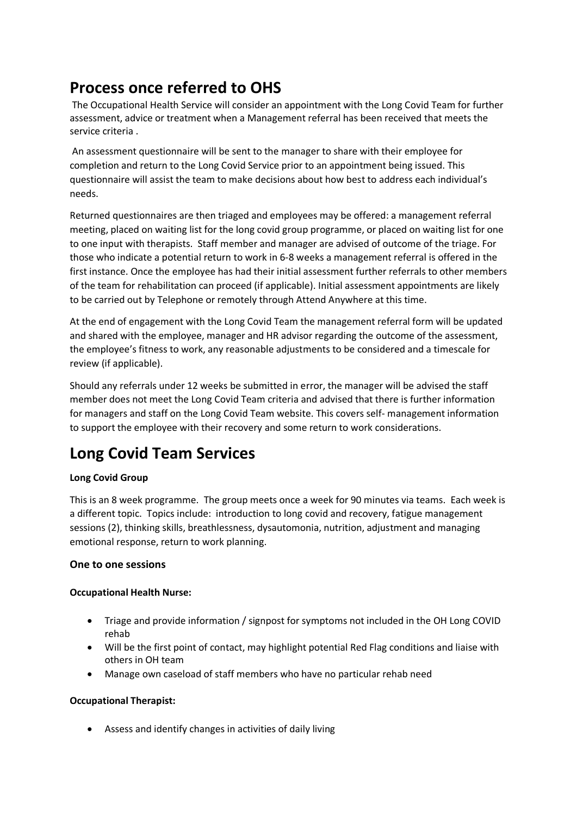# **Process once referred to OHS**

The Occupational Health Service will consider an appointment with the Long Covid Team for further assessment, advice or treatment when a Management referral has been received that meets the service criteria .

An assessment questionnaire will be sent to the manager to share with their employee for completion and return to the Long Covid Service prior to an appointment being issued. This questionnaire will assist the team to make decisions about how best to address each individual's needs.

Returned questionnaires are then triaged and employees may be offered: a management referral meeting, placed on waiting list for the long covid group programme, or placed on waiting list for one to one input with therapists. Staff member and manager are advised of outcome of the triage. For those who indicate a potential return to work in 6-8 weeks a management referral is offered in the first instance. Once the employee has had their initial assessment further referrals to other members of the team for rehabilitation can proceed (if applicable). Initial assessment appointments are likely to be carried out by Telephone or remotely through Attend Anywhere at this time.

At the end of engagement with the Long Covid Team the management referral form will be updated and shared with the employee, manager and HR advisor regarding the outcome of the assessment, the employee's fitness to work, any reasonable adjustments to be considered and a timescale for review (if applicable).

Should any referrals under 12 weeks be submitted in error, the manager will be advised the staff member does not meet the Long Covid Team criteria and advised that there is further information for managers and staff on the Long Covid Team website. This covers self- management information to support the employee with their recovery and some return to work considerations.

# **Long Covid Team Services**

## **Long Covid Group**

This is an 8 week programme. The group meets once a week for 90 minutes via teams. Each week is a different topic. Topics include: introduction to long covid and recovery, fatigue management sessions (2), thinking skills, breathlessness, dysautomonia, nutrition, adjustment and managing emotional response, return to work planning.

### **One to one sessions**

### **Occupational Health Nurse:**

- Triage and provide information / signpost for symptoms not included in the OH Long COVID rehab
- Will be the first point of contact, may highlight potential Red Flag conditions and liaise with others in OH team
- Manage own caseload of staff members who have no particular rehab need

### **Occupational Therapist:**

Assess and identify changes in activities of daily living